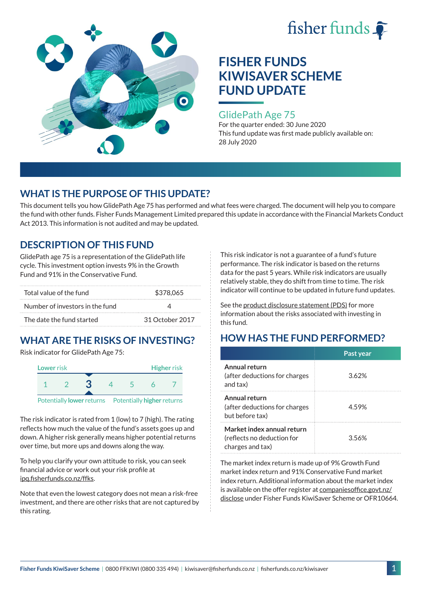



### GlidePath Age 75

For the quarter ended: 30 June 2020 This fund update was first made publicly available on: 28 July 2020

## **WHAT IS THE PURPOSE OF THIS UPDATE?**

This document tells you how GlidePath Age 75 has performed and what fees were charged. The document will help you to compare the fund with other funds. Fisher Funds Management Limited prepared this update in accordance with the Financial Markets Conduct Act 2013. This information is not audited and may be updated.

## **DESCRIPTION OF THIS FUND**

GlidePath age 75 is a representation of the GlidePath life cycle. This investment option invests 9% in the Growth Fund and 91% in the Conservative Fund.

| Total value of the fund         | \$378,065       |
|---------------------------------|-----------------|
| Number of investors in the fund |                 |
| The date the fund started       | 31 October 2017 |

## **WHAT ARE THE RISKS OF INVESTING?**

Risk indicator for GlidePath Age 75:



Potentially **lower** returns Potentially **higher** returns

The risk indicator is rated from 1 (low) to 7 (high). The rating reflects how much the value of the fund's assets goes up and down. A higher risk generally means higher potential returns over time, but more ups and downs along the way.

To help you clarify your own attitude to risk, you can seek financial advice or work out your risk profile at [ipq.fisherfunds.co.nz/ffks](https://ipq.fisherfunds.co.nz/ffks).

Note that even the lowest category does not mean a risk-free investment, and there are other risks that are not captured by this rating.

This risk indicator is not a guarantee of a fund's future performance. The risk indicator is based on the returns data for the past 5 years. While risk indicators are usually relatively stable, they do shift from time to time. The risk indicator will continue to be updated in future fund updates.

See the [product disclosure statement \(PDS\)](https://fisherfunds.co.nz/assets/PDS/Fisher-Funds-KiwiSaver-Scheme-PDS.pdf) for more information about the risks associated with investing in this fund.

## **HOW HAS THE FUND PERFORMED?**

|                                                                              | Past year |
|------------------------------------------------------------------------------|-----------|
| Annual return<br>(after deductions for charges<br>and tax)                   | 3.62%     |
| Annual return<br>(after deductions for charges<br>but before tax)            | 4.59%     |
| Market index annual return<br>(reflects no deduction for<br>charges and tax) | 3.56%     |

The market index return is made up of 9% Growth Fund market index return and 91% Conservative Fund market index return. Additional information about the market index is available on the offer register at [companiesoffice.govt.nz/](http://companiesoffice.govt.nz/disclose) [disclose](http://companiesoffice.govt.nz/disclose) under Fisher Funds KiwiSaver Scheme or OFR10664.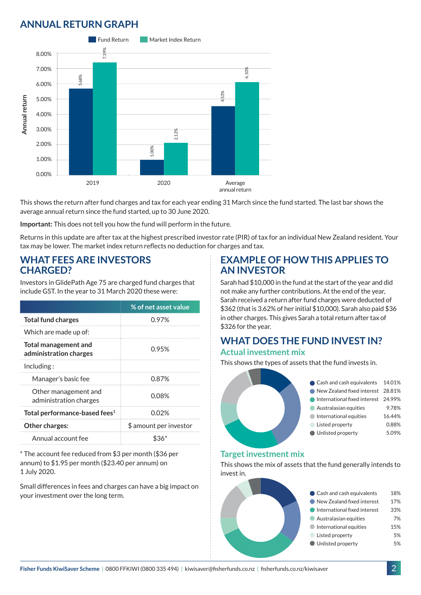## **ANNUAL RETURN GRAPH**



This shows the return after fund charges and tax for each year ending 31 March since the fund started. The last bar shows the average annual return since the fund started, up to 30 June 2020.

**Important:** This does not tell you how the fund will perform in the future.

Returns in this update are after tax at the highest prescribed investor rate (PIR) of tax for an individual New Zealand resident. Your tax may be lower. The market index return reflects no deduction for charges and tax.

### **WHAT FEES ARE INVESTORS CHARGED?**

Investors in GlidePath Age 75 are charged fund charges that include GST. In the year to 31 March 2020 these were:

|                                                | % of net asset value   |
|------------------------------------------------|------------------------|
| <b>Total fund charges</b>                      | 0.97%                  |
| Which are made up of:                          |                        |
| Total management and<br>administration charges | 0.95%                  |
| Including:                                     |                        |
| Manager's basic fee                            | 0.87%                  |
| Other management and<br>administration charges | 0.08%                  |
| Total performance-based fees <sup>1</sup>      | 0.02%                  |
| <b>Other charges:</b>                          | \$ amount per investor |
| Annual account fee                             |                        |

\* The account fee reduced from \$3 per month (\$36 per annum) to \$1.95 per month (\$23.40 per annum) on 1 July 2020.

Small differences in fees and charges can have a big impact on your investment over the long term.

### **EXAMPLE OF HOW THIS APPLIES TO AN INVESTOR**

Sarah had \$10,000 in the fund at the start of the year and did not make any further contributions. At the end of the year, Sarah received a return after fund charges were deducted of \$362 (that is 3.62% of her initial \$10,000). Sarah also paid \$36 in other charges. This gives Sarah a total return after tax of \$326 for the year.

# **WHAT DOES THE FUND INVEST IN?**

### **Actual investment mix**

This shows the types of assets that the fund invests in.



#### **Target investment mix**

This shows the mix of assets that the fund generally intends to invest in.